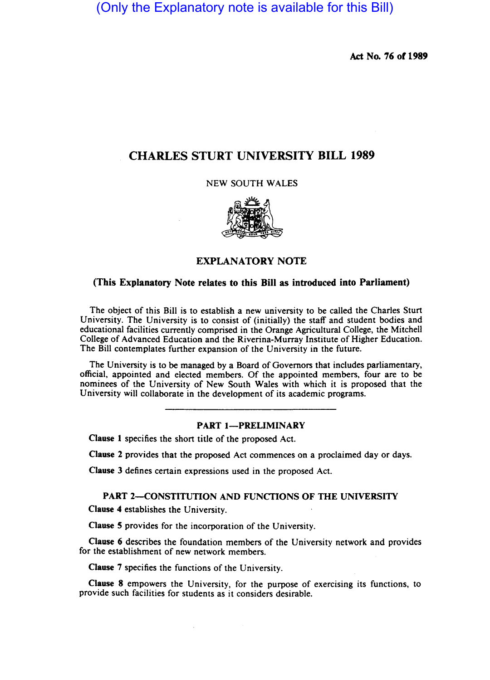(Only the Explanatory note is available for this Bill)

Act No. 76 of 1989

# CHARLES STURT UNIVERSITY BILL 1989

NEW SOUTH WALES



## EXPLANATORY NOTE

## (This Explanatory Note relates to this Bill as introduced into Parliament)

The object of this Bill is to establish a new university to be called the Charles Sturt University. The University is to consist of (initially) the staff and student bodies and educational facilities currently comprised in the Orange Agricultural College, the Mitchell College of Advanced Education and the Riverina-Murray Institute of Higher Education. The Bill contemplates further expansion of the University in the future.

The University is to be managed by a Board of Governors that includes parliamentary, official. appointed and elected members. Of the appointed members. four are to be nominees of the University of New South Wales with which it is proposed that the University will collaborate in the development of its academic programs.

## **PART 1-PRELIMINARY**

Clause I specifies the short title of the proposed Act.

Clause 2 provides that the proposed Act commences on a proclaimed day or days.

Clause 3 defines certain expressions used in the proposed Act.

## PART 2-CONSTITUTION AND FUNCTIONS OF THE UNIVERSITY

Clause 4 establishes the University.

Clause S provides for the incorporation of the University.

Clause 6 describes the foundation members of the University network and provides for the establishment of new network members.

Clause 7 specifies the functions of the University.

Clause 8 empowers the University. for the purpose of exercising its functions. to provide such facilities for students as it considers desirable.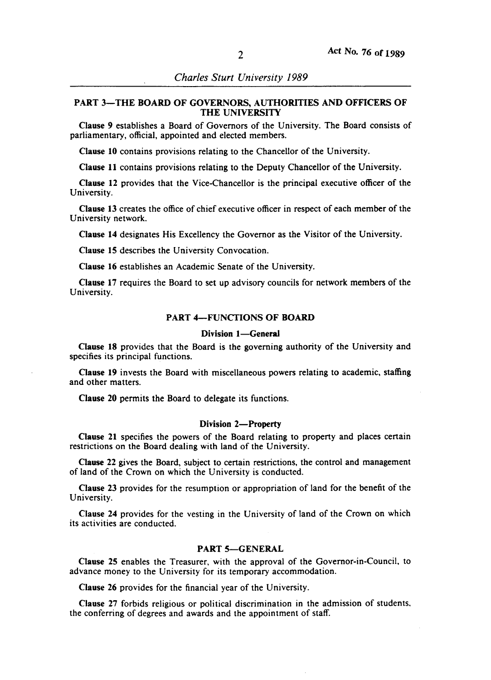## PART 3-THE BOARD OF GOVERNORS, AUTHORITIES AND OFFICERS OF THE UNIVERSITY

Clause 9 establishes a Board of Governors of the University. The Board consists of parliamentary, official, appointed and elected members.

Clause 10 contains provisions relating to the Chancellor of the University.

Clause 11 contains provisions relating to the Deputy Chancellor of the University.

Clause 12 provides that the Vice-Chancellor is the principal executive officer of the University.

Clause 13 creates the office of chief executive officer in respect of each member of the University network.

Clause 14 designates His Excellency the Governor as the Visitor of the University.

Clause 15 describes the University Convocation.

Clause 16 establishes an Academic Senate of the University.

Clause 17 requires the Board to set up advisory councils for network members of the University.

## PART 4-FUNCTIONS OF BOARD

#### Division 1-General

Clause 18 provides that the Board is the governing authority of the University and specifies its principal functions.

Clause 19 invests the Board with miscellaneous powers relating to academic. staffing and other matters.

Clause 20 permits the Board to delegate its functions.

#### Division 2-Property

Clause 21 specifies the powers of the Board relating to property and places certain restrictions on the Board dealing with land of the University.

Clause 22 gives the Board. subject to certain restrictions. the control and management of land of the Crown on which the University is conducted.

Clause 23 provides for the resumption or appropriation of land for the benefit of the University.

Clause 24 provides for the vesting in the University of land of the Crown on which its activities are conducted.

## PART 5-GENERAL

Clause 25 enables the Treasurer. with the approval of the Governor-in-Council. to advance money to the University for its temporary accommodation.

Clause 26 provides for the financial year of the University.

Clause 27 forbids religious or political discrimination in the admission of students. the conferring of degrees and awards and the appointment of staff.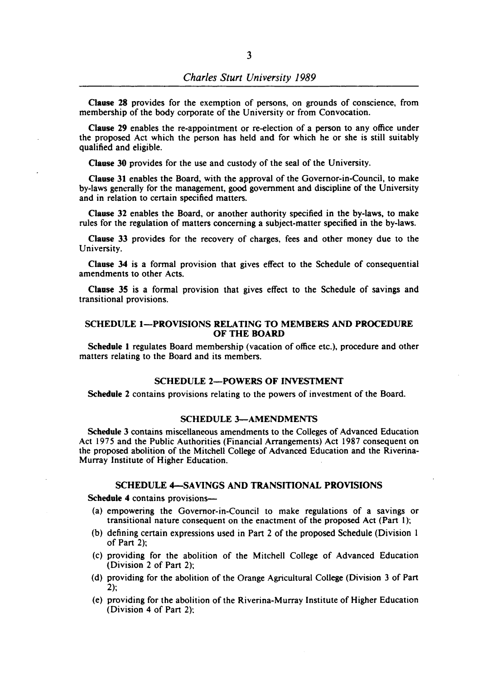Clause 28 provides for the exemption of persons, on grounds of conscience, from membership of the body corporate of the University or from Convocation.

Clause 29 enables the re-appointment or re-election of a person to any office under the proposed Act which the person has held and for which he or she is still suitably qualified and eligible.

Clause 30 provides for the use and custody of the seal of the University.

Clause 31 enables the Board. with the approval of the Governor-in-Council, to make by-laws generally for the management, good government and discipline of the University and in relation to certain specified matters.

Clause 32 enables the Board. or another authority specified in the by-laws, to make rules for the regulation of matters concerning a subject-matter specified in the by-laws.

Clause 33 provides for the recovery of charges, fees and other money due to the University.

Clause 34 is a formal provision that gives effect to the Schedule of consequential amendments to other Acts.

Clause 35 is a formal provision that gives effect to the Schedule of savings and transitional provisions.

## SCHEDULE 1-PROVISIONS RELATING TO MEMBERS AND PROCEDURE OF THE BOARD

Schedule 1 regulates Board membership (vacation of office etc.), procedure and other matters relating to the Board and its members.

## SCHEDULE 2-POWERS OF INVESTMENT

Schedule 2 contains provisions relating to the powers of investment of the Board.

#### SCHEDULE 3-AMENDMENTS

Schedule 3 contains miscellaneous amendments to the Colleges of Advanced Education Act 1975 and the Public Authorities (Financial Arrangements) Act 1987 consequent on the proposed abolition of the Mitchell College of Advanced Education and the Riverina-Murray Institute of Higher Education.

#### SCHEDULE 4-SAVINGS AND TRANSITIONAL PROVISIONS

Schedule 4 contains provisions-

- (a) empowering the Governor-in-Council to make regulations of a savings or transitional nature consequent on the enactment of the proposed Act (Part I);
- (b) defining certain expressions used in Part 2 of the proposed Schedule (Division I of Part 2);
- (c) providing for the abolition of the Mitchell College of Advanced Education (Division 2 of Part 2);
- (d) providing for the abolition of the Orange Agricultural College (Division 3 of Part 2);
- (e) providing for the abolition of the Riverina-Murray Institute of Higher Education (Division 4 of Part 2):